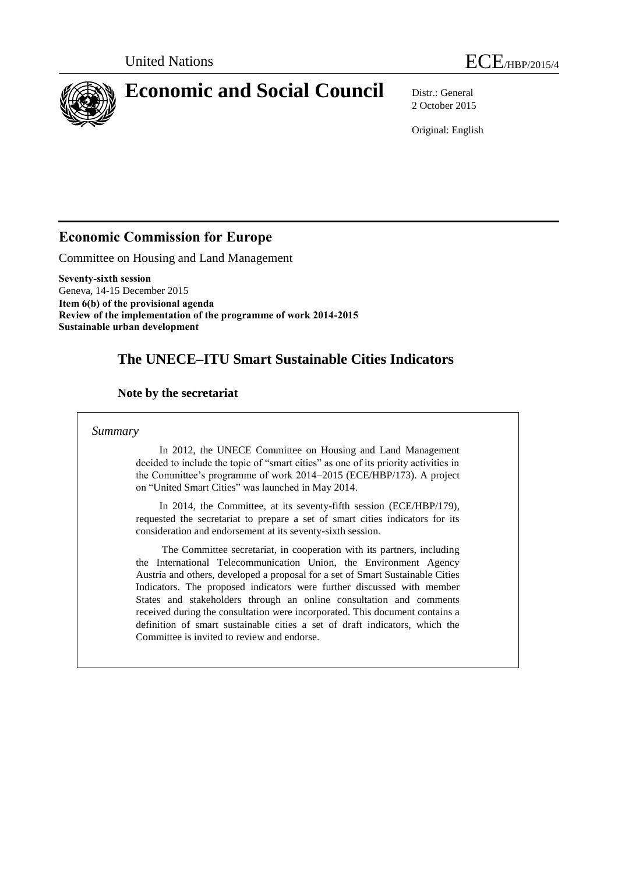

2 October 2015

Original: English

## **Economic Commission for Europe**

Committee on Housing and Land Management

**Seventy-sixth session** Geneva, 14-15 December 2015 **Item 6(b) of the provisional agenda Review of the implementation of the programme of work 2014-2015 Sustainable urban development**

## **The UNECE–ITU Smart Sustainable Cities Indicators**

## **Note by the secretariat**

#### *Summary*

 In 2012, the UNECE Committee on Housing and Land Management decided to include the topic of "smart cities" as one of its priority activities in the Committee's programme of work 2014–2015 (ECE/HBP/173). A project on "United Smart Cities" was launched in May 2014.

 In 2014, the Committee, at its seventy-fifth session (ECE/HBP/179), requested the secretariat to prepare a set of smart cities indicators for its consideration and endorsement at its seventy-sixth session.

 The Committee secretariat, in cooperation with its partners, including the International Telecommunication Union, the Environment Agency Austria and others, developed a proposal for a set of Smart Sustainable Cities Indicators. The proposed indicators were further discussed with member States and stakeholders through an online consultation and comments received during the consultation were incorporated. This document contains a definition of smart sustainable cities a set of draft indicators, which the Committee is invited to review and endorse.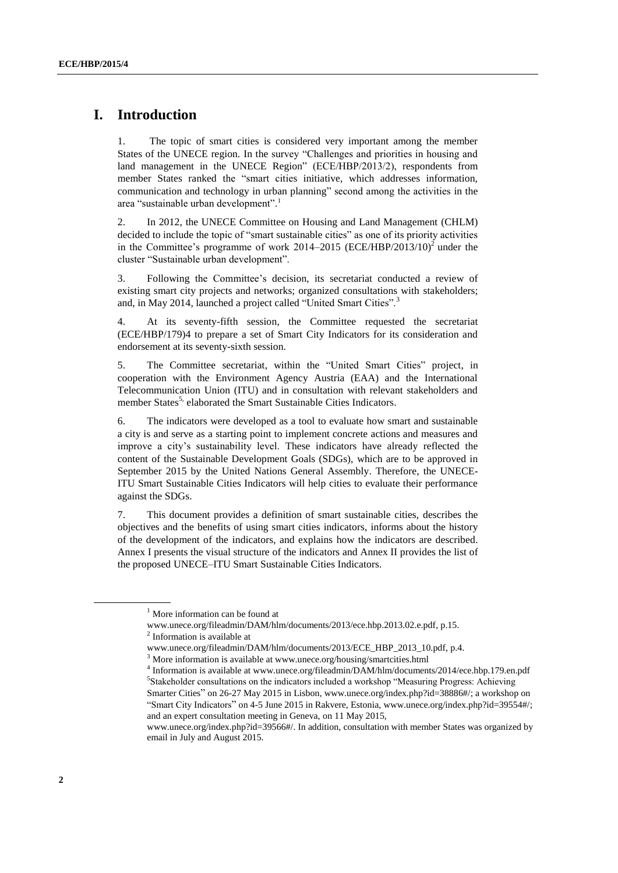## **I. Introduction**

1. The topic of smart cities is considered very important among the member States of the UNECE region. In the survey "Challenges and priorities in housing and land management in the UNECE Region" (ECE/HBP/2013/2), respondents from member States ranked the "smart cities initiative, which addresses information, communication and technology in urban planning" second among the activities in the area "sustainable urban development". 1

2. In 2012, the UNECE Committee on Housing and Land Management (CHLM) decided to include the topic of "smart sustainable cities" as one of its priority activities in the Committee's programme of work  $2014-2015$  (ECE/HBP/2013/10)<sup>2</sup> under the cluster "Sustainable urban development".

3. Following the Committee's decision, its secretariat conducted a review of existing smart city projects and networks; organized consultations with stakeholders; and, in May 2014, launched a project called "United Smart Cities".<sup>3</sup>

4. At its seventy-fifth session, the Committee requested the secretariat (ECE/HBP/179)4 to prepare a set of Smart City Indicators for its consideration and endorsement at its seventy-sixth session.

5. The Committee secretariat, within the "United Smart Cities" project, in cooperation with the Environment Agency Austria (EAA) and the International Telecommunication Union (ITU) and in consultation with relevant stakeholders and member States<sup>5,</sup> elaborated the Smart Sustainable Cities Indicators.

6. The indicators were developed as a tool to evaluate how smart and sustainable a city is and serve as a starting point to implement concrete actions and measures and improve a city's sustainability level. These indicators have already reflected the content of the Sustainable Development Goals (SDGs), which are to be approved in September 2015 by the United Nations General Assembly. Therefore, the UNECE-ITU Smart Sustainable Cities Indicators will help cities to evaluate their performance against the SDGs.

7. This document provides a definition of smart sustainable cities, describes the objectives and the benefits of using smart cities indicators, informs about the history of the development of the indicators, and explains how the indicators are described. Annex I presents the visual structure of the indicators and Annex II provides the list of the proposed UNECE–ITU Smart Sustainable Cities Indicators.

<sup>&</sup>lt;sup>1</sup> More information can be found at

[www.unece.org/fileadmin/DAM/hlm/documents/2013/ece.hbp.2013.02.e.pdf,](http://www.unece.org/fileadmin/DAM/hlm/documents/2013/ece.hbp.2013.02.e.pdf) p.15. 2 Information is available at

[www.unece.org/fileadmin/DAM/hlm/documents/2013/ECE\\_HBP\\_2013\\_10.pdf,](http://www.unece.org/fileadmin/DAM/hlm/documents/2013/ECE_HBP_2013_10.pdf) p.4.

<sup>&</sup>lt;sup>3</sup> More information is available at www.unece.org/housing/smartcities.html

<sup>4</sup> Information is available at www.unece.org/fileadmin/DAM/hlm/documents/2014/ece.hbp.179.en.pdf 5 Stakeholder consultations on the indicators included a workshop "Measuring Progress: Achieving

Smarter Cities" on 26-27 May 2015 in Lisbon[, www.unece.org/index.php?id=38886#/;](http://www.unece.org/index.php?id=38886#/) a workshop on "Smart City Indicators" on 4-5 June 2015 in Rakvere, Estonia[, www.unece.org/index.php?id=39554#/;](http://www.unece.org/index.php?id=39554#/) and an expert consultation meeting in Geneva, on 11 May 2015,

[www.unece.org/index.php?id=39566#/.](http://www.unece.org/index.php?id=39566#/) In addition, consultation with member States was organized by email in July and August 2015.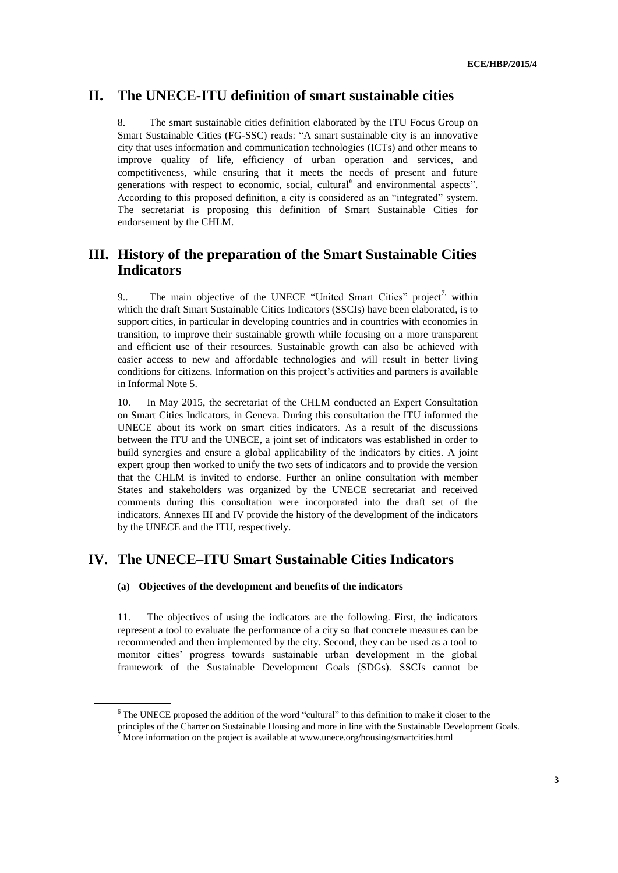## **II. The UNECE-ITU definition of smart sustainable cities**

8. The smart sustainable cities definition elaborated by the ITU Focus Group on Smart Sustainable Cities (FG-SSC) reads: "A smart sustainable city is an innovative city that uses information and communication technologies (ICTs) and other means to improve quality of life, efficiency of urban operation and services, and competitiveness, while ensuring that it meets the needs of present and future generations with respect to economic, social, cultural<sup>6</sup> and environmental aspects". According to this proposed definition, a city is considered as an "integrated" system. The secretariat is proposing this definition of Smart Sustainable Cities for endorsement by the CHLM.

## **III. History of the preparation of the Smart Sustainable Cities Indicators**

9.. The main objective of the UNECE "United Smart Cities" project<sup>7,</sup> within which the draft Smart Sustainable Cities Indicators (SSCIs) have been elaborated, is to support cities, in particular in developing countries and in countries with economies in transition, to improve their sustainable growth while focusing on a more transparent and efficient use of their resources. Sustainable growth can also be achieved with easier access to new and affordable technologies and will result in better living conditions for citizens. Information on this project's activities and partners is available in Informal Note 5.

10. In May 2015, the secretariat of the CHLM conducted an Expert Consultation on Smart Cities Indicators, in Geneva. During this consultation the ITU informed the UNECE about its work on smart cities indicators. As a result of the discussions between the ITU and the UNECE, a joint set of indicators was established in order to build synergies and ensure a global applicability of the indicators by cities. A joint expert group then worked to unify the two sets of indicators and to provide the version that the CHLM is invited to endorse. Further an online consultation with member States and stakeholders was organized by the UNECE secretariat and received comments during this consultation were incorporated into the draft set of the indicators. Annexes III and IV provide the history of the development of the indicators by the UNECE and the ITU, respectively.

## **IV. The UNECE–ITU Smart Sustainable Cities Indicators**

#### **(a) Objectives of the development and benefits of the indicators**

11. The objectives of using the indicators are the following. First, the indicators represent a tool to evaluate the performance of a city so that concrete measures can be recommended and then implemented by the city. Second, they can be used as a tool to monitor cities' progress towards sustainable urban development in the global framework of the Sustainable Development Goals (SDGs). SSCIs cannot be

<sup>&</sup>lt;sup>6</sup> The UNECE proposed the addition of the word "cultural" to this definition to make it closer to the

principles of the Charter on Sustainable Housing and more in line with the Sustainable Development Goals.

<sup>7</sup> More information on the project is available at www.unece.org/housing/smartcities.html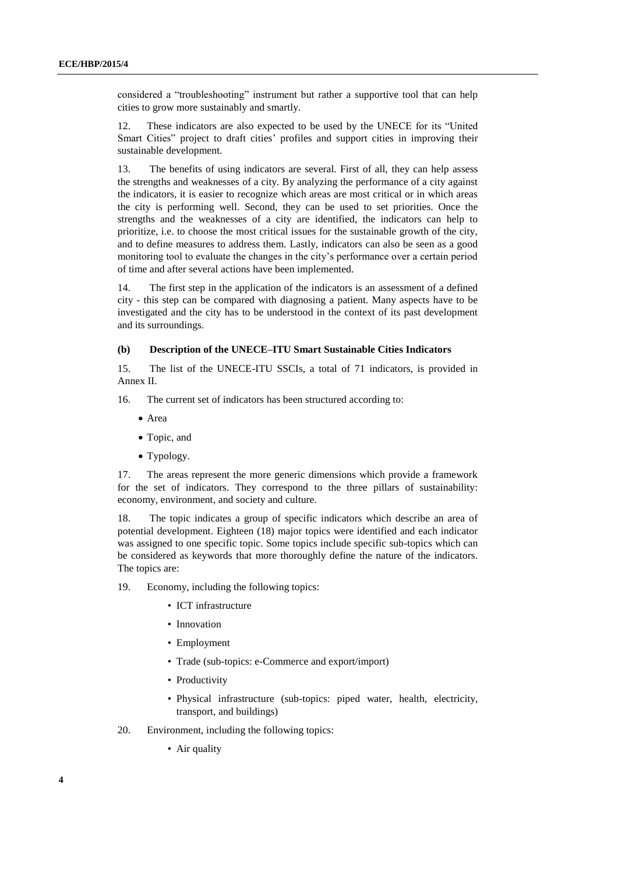considered a "troubleshooting" instrument but rather a supportive tool that can help cities to grow more sustainably and smartly.

12. These indicators are also expected to be used by the UNECE for its "United Smart Cities" project to draft cities' profiles and support cities in improving their sustainable development.

13. The benefits of using indicators are several. First of all, they can help assess the strengths and weaknesses of a city. By analyzing the performance of a city against the indicators, it is easier to recognize which areas are most critical or in which areas the city is performing well. Second, they can be used to set priorities. Once the strengths and the weaknesses of a city are identified, the indicators can help to prioritize, i.e. to choose the most critical issues for the sustainable growth of the city, and to define measures to address them. Lastly, indicators can also be seen as a good monitoring tool to evaluate the changes in the city's performance over a certain period of time and after several actions have been implemented.

14. The first step in the application of the indicators is an assessment of a defined city - this step can be compared with diagnosing a patient. Many aspects have to be investigated and the city has to be understood in the context of its past development and its surroundings.

#### **(b) Description of the UNECE–ITU Smart Sustainable Cities Indicators**

15. The list of the UNECE-ITU SSCIs, a total of 71 indicators, is provided in Annex II.

16. The current set of indicators has been structured according to:

- Area
- Topic, and
- Typology.

17. The areas represent the more generic dimensions which provide a framework for the set of indicators. They correspond to the three pillars of sustainability: economy, environment, and society and culture.

18. The topic indicates a group of specific indicators which describe an area of potential development. Eighteen (18) major topics were identified and each indicator was assigned to one specific topic. Some topics include specific sub-topics which can be considered as keywords that more thoroughly define the nature of the indicators. The topics are:

19. Economy, including the following topics:

- ICT infrastructure
- Innovation
- Employment
- Trade (sub-topics: e-Commerce and export/import)
- Productivity
- Physical infrastructure (sub-topics: piped water, health, electricity, transport, and buildings)
- 20. Environment, including the following topics:
	- Air quality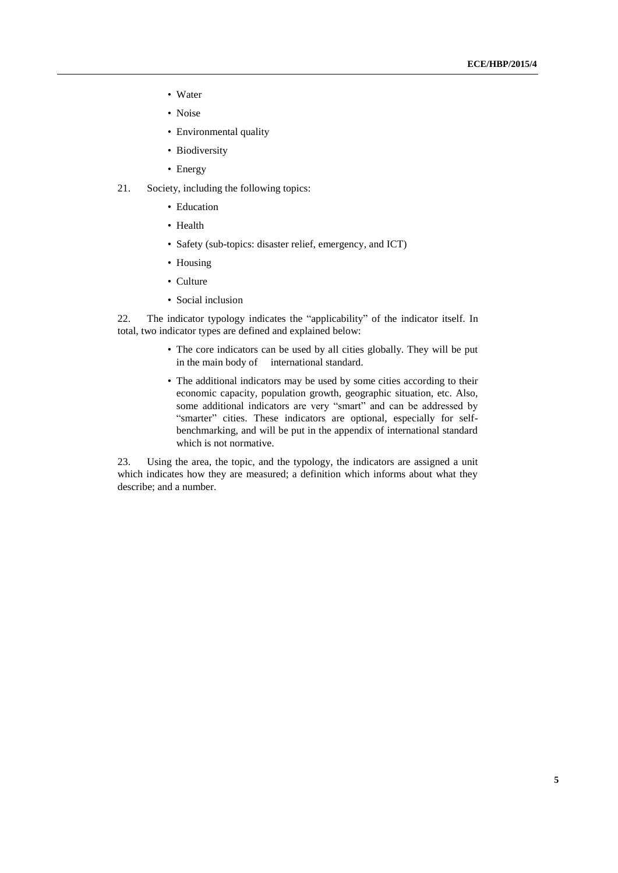- Water
- Noise
- Environmental quality
- Biodiversity
- Energy
- 21. Society, including the following topics:
	- Education
	- Health
	- Safety (sub-topics: disaster relief, emergency, and ICT)
	- Housing
	- Culture
	- Social inclusion

22. The indicator typology indicates the "applicability" of the indicator itself. In total, two indicator types are defined and explained below:

- The core indicators can be used by all cities globally. They will be put in the main body of international standard.
- The additional indicators may be used by some cities according to their economic capacity, population growth, geographic situation, etc. Also, some additional indicators are very "smart" and can be addressed by "smarter" cities. These indicators are optional, especially for selfbenchmarking, and will be put in the appendix of international standard which is not normative.

23. Using the area, the topic, and the typology, the indicators are assigned a unit which indicates how they are measured; a definition which informs about what they describe; and a number.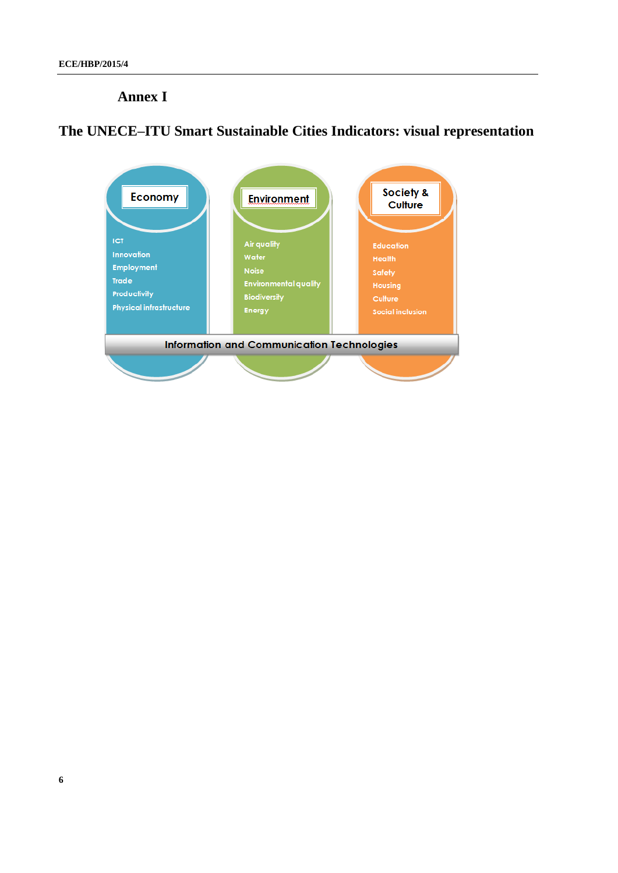## **Annex I**

# **The UNECE–ITU Smart Sustainable Cities Indicators: visual representation**

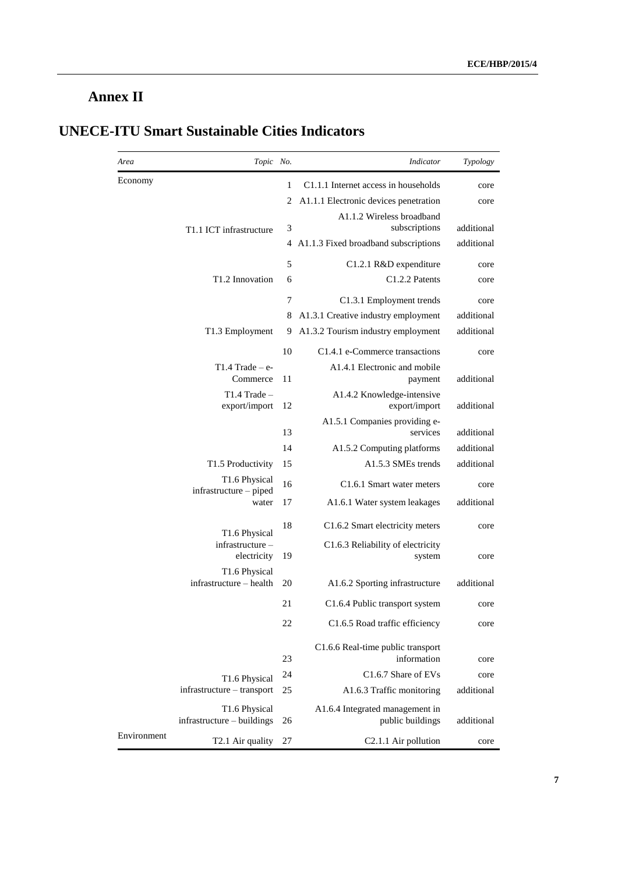# **Annex II**

|             | Topic No.                                   |    | Indicator                                           | Typology   |
|-------------|---------------------------------------------|----|-----------------------------------------------------|------------|
| Economy     |                                             | 1  | C1.1.1 Internet access in households                | core       |
|             |                                             | 2  | A1.1.1 Electronic devices penetration               | core       |
|             | T1.1 ICT infrastructure                     | 3  | A1.1.2 Wireless broadband<br>subscriptions          | additional |
|             |                                             |    | 4 A1.1.3 Fixed broadband subscriptions              | additional |
|             |                                             | 5  | C1.2.1 R&D expenditure                              | core       |
|             | T <sub>1.2</sub> Innovation                 | 6  | C1.2.2 Patents                                      | core       |
|             |                                             | 7  | C1.3.1 Employment trends                            | core       |
|             |                                             | 8  | A1.3.1 Creative industry employment                 | additional |
|             | T1.3 Employment                             | 9  | A1.3.2 Tourism industry employment                  | additional |
|             |                                             | 10 | C <sub>1.4.1</sub> e-Commerce transactions          | core       |
|             | $T1.4$ Trade – e-<br>Commerce               | 11 | A1.4.1 Electronic and mobile<br>payment             | additional |
|             | $T1.4$ Trade -                              |    | A1.4.2 Knowledge-intensive                          |            |
|             | export/import                               | 12 | export/import                                       | additional |
|             |                                             | 13 | A1.5.1 Companies providing e-<br>services           | additional |
|             |                                             | 14 | A1.5.2 Computing platforms                          | additional |
|             | T1.5 Productivity                           | 15 | A1.5.3 SMEs trends                                  | additional |
|             | T1.6 Physical                               | 16 | C <sub>1.6.1</sub> Smart water meters               | core       |
|             | infrastructure – piped<br>water             | 17 | A1.6.1 Water system leakages                        | additional |
|             | T1.6 Physical                               | 18 | C1.6.2 Smart electricity meters                     | core       |
|             | infrastructure-<br>electricity              | 19 | C1.6.3 Reliability of electricity<br>system         | core       |
|             | T1.6 Physical                               |    |                                                     |            |
|             | infrastructure – health                     | 20 | A1.6.2 Sporting infrastructure                      | additional |
|             |                                             | 21 | C1.6.4 Public transport system                      | core       |
|             |                                             | 22 | C1.6.5 Road traffic efficiency                      | core       |
|             |                                             | 23 | C1.6.6 Real-time public transport<br>information    | core       |
|             | T1.6 Physical                               | 24 | C <sub>1.6.7</sub> Share of EVs                     | core       |
|             | infrastructure - transport                  | 25 | A1.6.3 Traffic monitoring                           | additional |
|             | T1.6 Physical<br>infrastructure – buildings | 26 | A1.6.4 Integrated management in<br>public buildings | additional |
| Environment | T2.1 Air quality                            | 27 | C <sub>2.1.1</sub> Air pollution                    | core       |

# **UNECE-ITU Smart Sustainable Cities Indicators**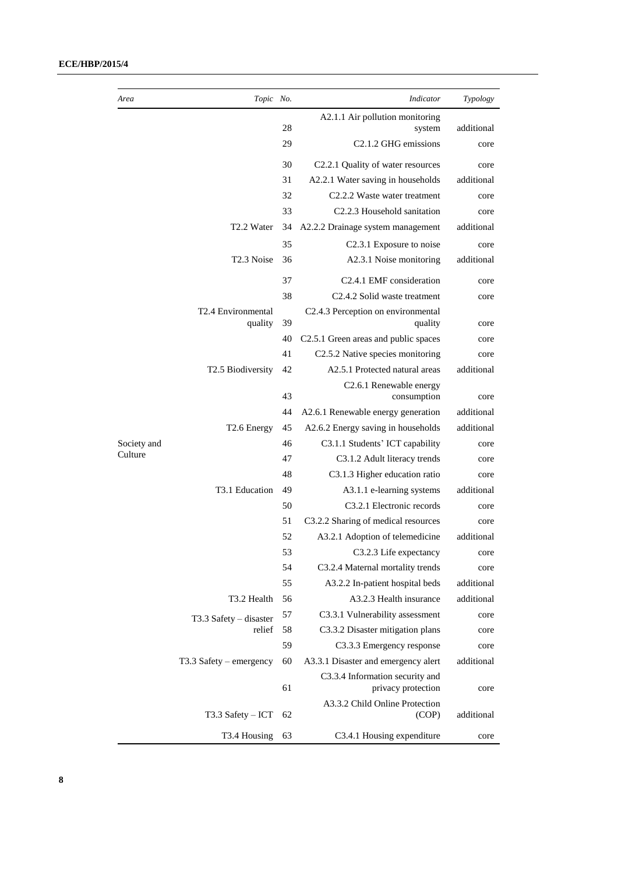#### **ECE/HBP/2015/4**

| Area        | Topic No.                 |          | Indicator                                             | Typology           |
|-------------|---------------------------|----------|-------------------------------------------------------|--------------------|
|             |                           |          | A2.1.1 Air pollution monitoring                       |                    |
|             |                           | 28       | system                                                | additional         |
|             |                           | 29       | C <sub>2</sub> .1.2 GHG emissions                     | core               |
|             |                           | 30       | C2.2.1 Quality of water resources                     | core               |
|             |                           | 31       | A2.2.1 Water saving in households                     | additional         |
|             |                           | 32       | C <sub>2.2.2</sub> Waste water treatment              | core               |
|             |                           | 33       | C2.2.3 Household sanitation                           | core               |
|             | T <sub>2.2</sub> Water    | 34       | A2.2.2 Drainage system management                     | additional         |
|             |                           | 35       | C <sub>2.3.1</sub> Exposure to noise                  | core               |
|             | T <sub>2.3</sub> Noise    | 36       | A2.3.1 Noise monitoring                               | additional         |
|             |                           | 37       | C2.4.1 EMF consideration                              | core               |
|             |                           | 38       | C <sub>2</sub> .4.2 Solid waste treatment             | core               |
|             | T2.4 Environmental        |          | C2.4.3 Perception on environmental                    |                    |
|             | quality                   | 39<br>40 | quality<br>C2.5.1 Green areas and public spaces       | core               |
|             |                           | 41       | C2.5.2 Native species monitoring                      | core               |
|             | T2.5 Biodiversity         | 42       | A2.5.1 Protected natural areas                        | core<br>additional |
|             |                           |          | C <sub>2</sub> .6.1 Renewable energy                  |                    |
|             |                           | 43       | consumption                                           | core               |
|             |                           | 44       | A2.6.1 Renewable energy generation                    | additional         |
|             | T <sub>2.6</sub> Energy   | 45       | A2.6.2 Energy saving in households                    | additional         |
| Society and |                           | 46       | C3.1.1 Students' ICT capability                       | core               |
| Culture     |                           | 47       | C3.1.2 Adult literacy trends                          | core               |
|             |                           | 48       | C3.1.3 Higher education ratio                         | core               |
|             | T3.1 Education            | 49       | A3.1.1 e-learning systems                             | additional         |
|             |                           | 50       | C3.2.1 Electronic records                             | core               |
|             |                           | 51       | C3.2.2 Sharing of medical resources                   | core               |
|             |                           | 52       | A3.2.1 Adoption of telemedicine                       | additional         |
|             |                           | 53       | C3.2.3 Life expectancy                                | core               |
|             |                           | 54       | C3.2.4 Maternal mortality trends                      | core               |
|             |                           | 55       | A3.2.2 In-patient hospital beds                       | additional         |
|             | T3.2 Health               | 56       | A3.2.3 Health insurance                               | additional         |
|             | T3.3 Safety - disaster    | 57       | C3.3.1 Vulnerability assessment                       | core               |
|             | relief                    | 58       | C3.3.2 Disaster mitigation plans                      | core               |
|             |                           | 59       | C3.3.3 Emergency response                             | core               |
|             | $T3.3$ Safety – emergency | 60       | A3.3.1 Disaster and emergency alert                   | additional         |
|             |                           | 61       | C3.3.4 Information security and<br>privacy protection | core               |
|             |                           |          | A3.3.2 Child Online Protection                        |                    |
|             | $T3.3$ Safety $-$ ICT     | 62       | (COP)                                                 | additional         |
|             | T3.4 Housing              | 63       | C3.4.1 Housing expenditure                            | core               |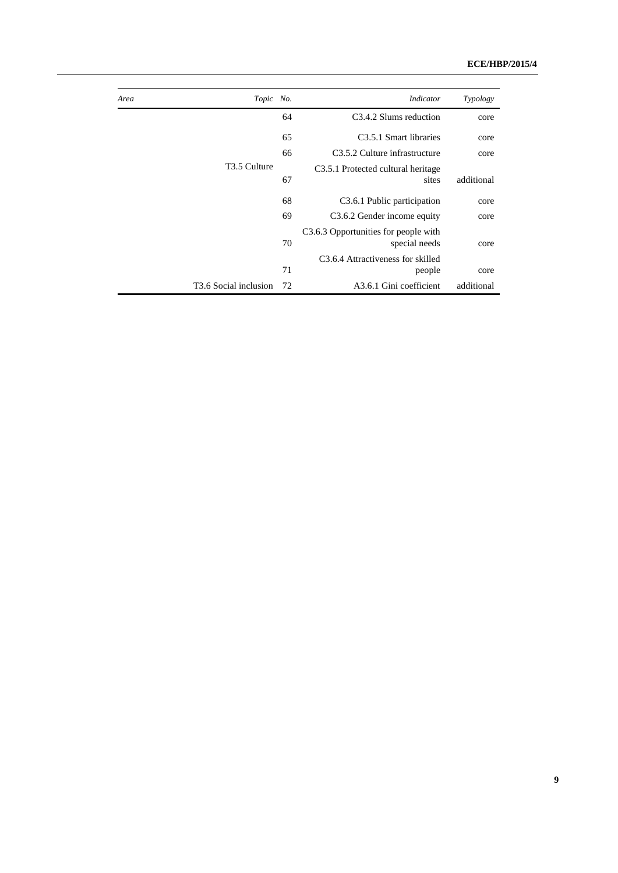| Typology   | Indicator                                             | Topic No. | Area                              |
|------------|-------------------------------------------------------|-----------|-----------------------------------|
| core       | C <sub>3</sub> .4.2 Slums reduction                   | 64        |                                   |
| core       | C <sub>3.5.1</sub> Smart libraries                    | 65        |                                   |
| core       | C <sub>3</sub> .5.2 Culture infrastructure            | 66        |                                   |
|            | C <sub>3.5.1</sub> Protected cultural heritage        |           | T <sub>3.5</sub> Culture          |
| additional | sites                                                 | 67        |                                   |
| core       | C <sub>3</sub> .6.1 Public participation              | 68        |                                   |
| core       | C3.6.2 Gender income equity                           | 69        |                                   |
| core       | C3.6.3 Opportunities for people with<br>special needs | 70        |                                   |
|            | C <sub>3</sub> .6.4 Attractiveness for skilled        |           |                                   |
| core       | people                                                | 71        |                                   |
| additional | A3.6.1 Gini coefficient                               | 72        | T <sub>3.6</sub> Social inclusion |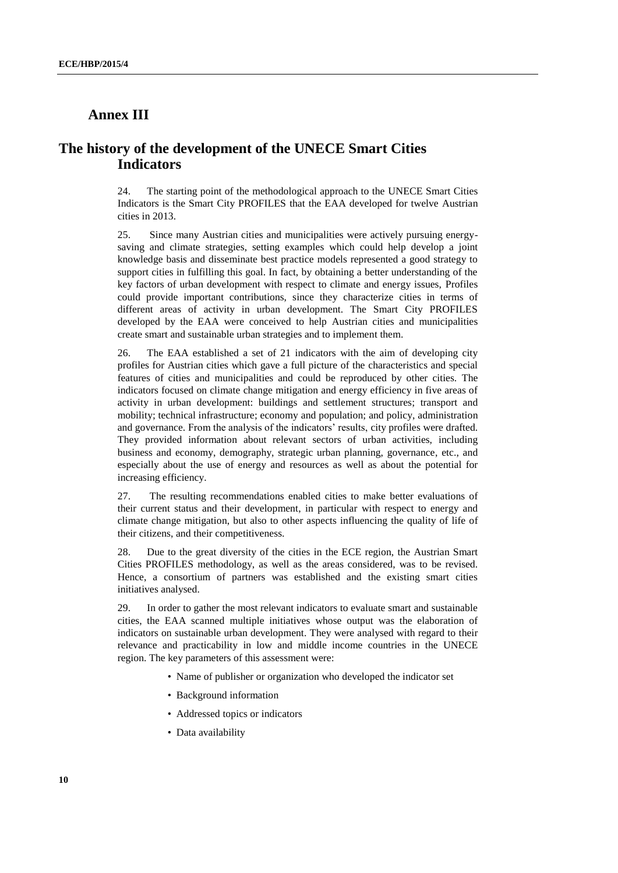### **Annex III**

## **The history of the development of the UNECE Smart Cities Indicators**

24. The starting point of the methodological approach to the UNECE Smart Cities Indicators is the Smart City PROFILES that the EAA developed for twelve Austrian cities in 2013.

25. Since many Austrian cities and municipalities were actively pursuing energysaving and climate strategies, setting examples which could help develop a joint knowledge basis and disseminate best practice models represented a good strategy to support cities in fulfilling this goal. In fact, by obtaining a better understanding of the key factors of urban development with respect to climate and energy issues, Profiles could provide important contributions, since they characterize cities in terms of different areas of activity in urban development. The Smart City PROFILES developed by the EAA were conceived to help Austrian cities and municipalities create smart and sustainable urban strategies and to implement them.

26. The EAA established a set of 21 indicators with the aim of developing city profiles for Austrian cities which gave a full picture of the characteristics and special features of cities and municipalities and could be reproduced by other cities. The indicators focused on climate change mitigation and energy efficiency in five areas of activity in urban development: buildings and settlement structures; transport and mobility; technical infrastructure; economy and population; and policy, administration and governance. From the analysis of the indicators' results, city profiles were drafted. They provided information about relevant sectors of urban activities, including business and economy, demography, strategic urban planning, governance, etc., and especially about the use of energy and resources as well as about the potential for increasing efficiency.

27. The resulting recommendations enabled cities to make better evaluations of their current status and their development, in particular with respect to energy and climate change mitigation, but also to other aspects influencing the quality of life of their citizens, and their competitiveness.

28. Due to the great diversity of the cities in the ECE region, the Austrian Smart Cities PROFILES methodology, as well as the areas considered, was to be revised. Hence, a consortium of partners was established and the existing smart cities initiatives analysed.

29. In order to gather the most relevant indicators to evaluate smart and sustainable cities, the EAA scanned multiple initiatives whose output was the elaboration of indicators on sustainable urban development. They were analysed with regard to their relevance and practicability in low and middle income countries in the UNECE region. The key parameters of this assessment were:

- Name of publisher or organization who developed the indicator set
- Background information
- Addressed topics or indicators
- Data availability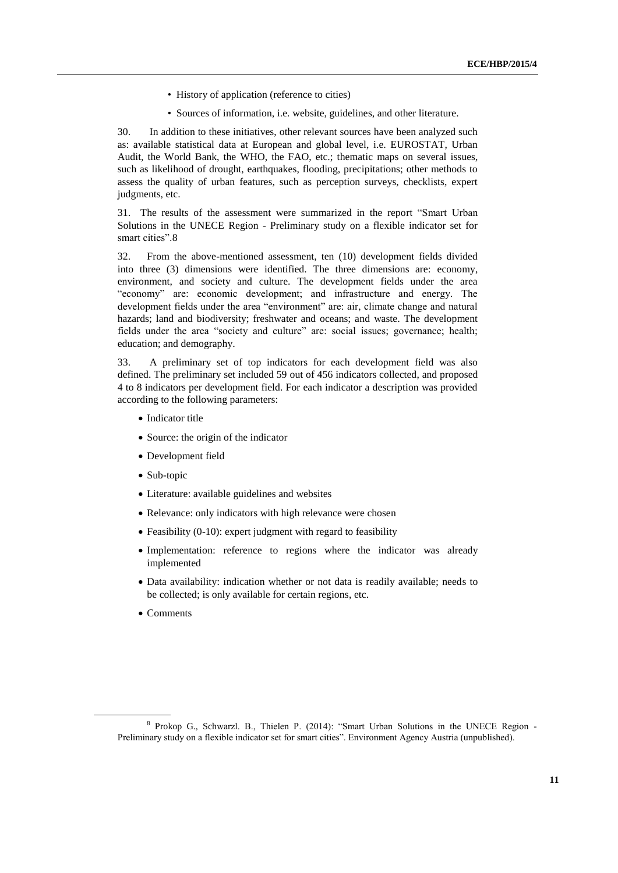- History of application (reference to cities)
- Sources of information, i.e. website, guidelines, and other literature.

30. In addition to these initiatives, other relevant sources have been analyzed such as: available statistical data at European and global level, i.e. EUROSTAT, Urban Audit, the World Bank, the WHO, the FAO, etc.; thematic maps on several issues, such as likelihood of drought, earthquakes, flooding, precipitations; other methods to assess the quality of urban features, such as perception surveys, checklists, expert judgments, etc.

31. The results of the assessment were summarized in the report "Smart Urban Solutions in the UNECE Region - Preliminary study on a flexible indicator set for smart cities".8

32. From the above-mentioned assessment, ten (10) development fields divided into three (3) dimensions were identified. The three dimensions are: economy, environment, and society and culture. The development fields under the area "economy" are: economic development; and infrastructure and energy. The development fields under the area "environment" are: air, climate change and natural hazards; land and biodiversity; freshwater and oceans; and waste. The development fields under the area "society and culture" are: social issues; governance; health; education; and demography.

33. A preliminary set of top indicators for each development field was also defined. The preliminary set included 59 out of 456 indicators collected, and proposed 4 to 8 indicators per development field. For each indicator a description was provided according to the following parameters:

- Indicator title
- Source: the origin of the indicator
- Development field
- Sub-topic
- Literature: available guidelines and websites
- Relevance: only indicators with high relevance were chosen
- Feasibility (0-10): expert judgment with regard to feasibility
- Implementation: reference to regions where the indicator was already implemented
- Data availability: indication whether or not data is readily available; needs to be collected; is only available for certain regions, etc.
- Comments

<sup>8</sup> Prokop G., Schwarzl. B., Thielen P. (2014): "Smart Urban Solutions in the UNECE Region - Preliminary study on a flexible indicator set for smart cities". Environment Agency Austria (unpublished).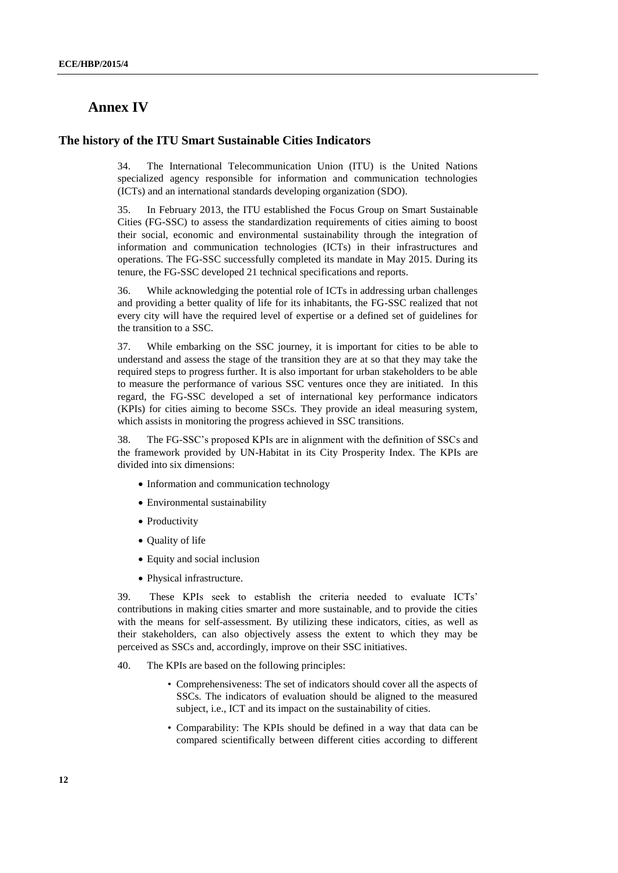## **Annex IV**

#### **The history of the ITU Smart Sustainable Cities Indicators**

34. The International Telecommunication Union (ITU) is the United Nations specialized agency responsible for information and communication technologies (ICTs) and an international standards developing organization (SDO).

35. In February 2013, the ITU established the Focus Group on Smart Sustainable Cities (FG-SSC) to assess the standardization requirements of cities aiming to boost their social, economic and environmental sustainability through the integration of information and communication technologies (ICTs) in their infrastructures and operations. The FG-SSC successfully completed its mandate in May 2015. During its tenure, the FG-SSC developed 21 technical specifications and reports.

36. While acknowledging the potential role of ICTs in addressing urban challenges and providing a better quality of life for its inhabitants, the FG-SSC realized that not every city will have the required level of expertise or a defined set of guidelines for the transition to a SSC.

37. While embarking on the SSC journey, it is important for cities to be able to understand and assess the stage of the transition they are at so that they may take the required steps to progress further. It is also important for urban stakeholders to be able to measure the performance of various SSC ventures once they are initiated. In this regard, the FG-SSC developed a set of international key performance indicators (KPIs) for cities aiming to become SSCs. They provide an ideal measuring system, which assists in monitoring the progress achieved in SSC transitions.

38. The FG-SSC's proposed KPIs are in alignment with the definition of SSCs and the framework provided by UN-Habitat in its City Prosperity Index. The KPIs are divided into six dimensions:

- Information and communication technology
- Environmental sustainability
- Productivity
- Quality of life
- Equity and social inclusion
- Physical infrastructure.

39. These KPIs seek to establish the criteria needed to evaluate ICTs' contributions in making cities smarter and more sustainable, and to provide the cities with the means for self-assessment. By utilizing these indicators, cities, as well as their stakeholders, can also objectively assess the extent to which they may be perceived as SSCs and, accordingly, improve on their SSC initiatives.

40. The KPIs are based on the following principles:

- Comprehensiveness: The set of indicators should cover all the aspects of SSCs. The indicators of evaluation should be aligned to the measured subject, i.e., ICT and its impact on the sustainability of cities.
- Comparability: The KPIs should be defined in a way that data can be compared scientifically between different cities according to different